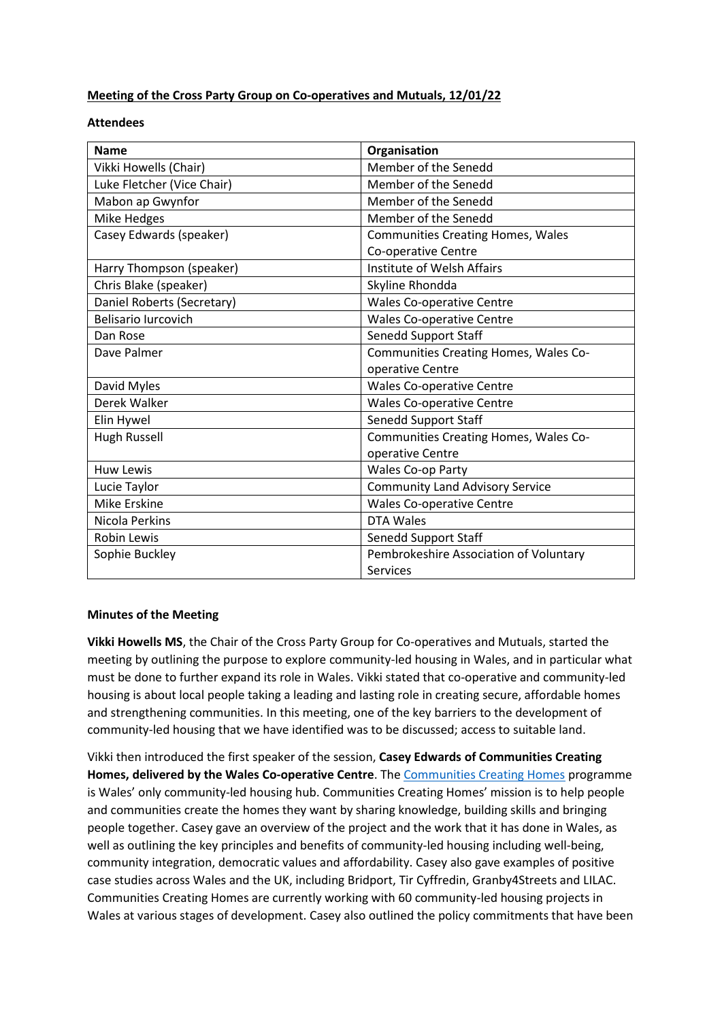## **Meeting of the Cross Party Group on Co-operatives and Mutuals, 12/01/22**

## **Attendees**

| <b>Name</b>                | Organisation                             |
|----------------------------|------------------------------------------|
| Vikki Howells (Chair)      | Member of the Senedd                     |
| Luke Fletcher (Vice Chair) | Member of the Senedd                     |
| Mabon ap Gwynfor           | Member of the Senedd                     |
| Mike Hedges                | Member of the Senedd                     |
| Casey Edwards (speaker)    | <b>Communities Creating Homes, Wales</b> |
|                            | Co-operative Centre                      |
| Harry Thompson (speaker)   | Institute of Welsh Affairs               |
| Chris Blake (speaker)      | Skyline Rhondda                          |
| Daniel Roberts (Secretary) | <b>Wales Co-operative Centre</b>         |
| <b>Belisario Iurcovich</b> | <b>Wales Co-operative Centre</b>         |
| Dan Rose                   | <b>Senedd Support Staff</b>              |
| Dave Palmer                | Communities Creating Homes, Wales Co-    |
|                            | operative Centre                         |
| David Myles                | <b>Wales Co-operative Centre</b>         |
| Derek Walker               | <b>Wales Co-operative Centre</b>         |
| Elin Hywel                 | <b>Senedd Support Staff</b>              |
| <b>Hugh Russell</b>        | Communities Creating Homes, Wales Co-    |
|                            | operative Centre                         |
| <b>Huw Lewis</b>           | Wales Co-op Party                        |
| Lucie Taylor               | <b>Community Land Advisory Service</b>   |
| Mike Erskine               | <b>Wales Co-operative Centre</b>         |
| Nicola Perkins             | DTA Wales                                |
| <b>Robin Lewis</b>         | Senedd Support Staff                     |
| Sophie Buckley             | Pembrokeshire Association of Voluntary   |
|                            | Services                                 |

## **Minutes of the Meeting**

**Vikki Howells MS**, the Chair of the Cross Party Group for Co-operatives and Mutuals, started the meeting by outlining the purpose to explore community-led housing in Wales, and in particular what must be done to further expand its role in Wales. Vikki stated that co-operative and community-led housing is about local people taking a leading and lasting role in creating secure, affordable homes and strengthening communities. In this meeting, one of the key barriers to the development of community-led housing that we have identified was to be discussed; access to suitable land.

Vikki then introduced the first speaker of the session, **Casey Edwards of Communities Creating Homes, delivered by the Wales Co-operative Centre**. The [Communities Creating Homes](https://wales.coop/what-we-do/services/co-operative-community-led-housing/) programme is Wales' only community-led housing hub. Communities Creating Homes' mission is to help people and communities create the homes they want by sharing knowledge, building skills and bringing people together. Casey gave an overview of the project and the work that it has done in Wales, as well as outlining the key principles and benefits of community-led housing including well-being, community integration, democratic values and affordability. Casey also gave examples of positive case studies across Wales and the UK, including Bridport, Tir Cyffredin, Granby4Streets and LILAC. Communities Creating Homes are currently working with 60 community-led housing projects in Wales at various stages of development. Casey also outlined the policy commitments that have been